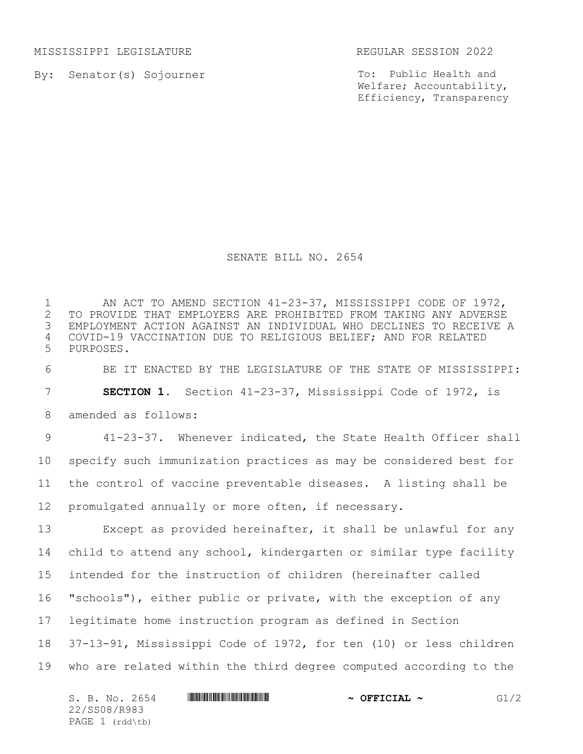MISSISSIPPI LEGISLATURE REGULAR SESSION 2022

By: Senator(s) Sojourner

To: Public Health and Welfare; Accountability, Efficiency, Transparency

## SENATE BILL NO. 2654

1 AN ACT TO AMEND SECTION 41-23-37, MISSISSIPPI CODE OF 1972,<br>2 TO PROVIDE THAT EMPLOYERS ARE PROHIBITED FROM TAKING ANY ADVERSE 2 TO PROVIDE THAT EMPLOYERS ARE PROHIBITED FROM TAKING ANY ADVERSE<br>3 EMPLOYMENT ACTION AGAINST AN INDIVIDUAL WHO DECLINES TO RECEIVE A EMPLOYMENT ACTION AGAINST AN INDIVIDUAL WHO DECLINES TO RECEIVE A 4 COVID-19 VACCINATION DUE TO RELIGIOUS BELIEF; AND FOR RELATED 5 PURPOSES.

6 BE IT ENACTED BY THE LEGISLATURE OF THE STATE OF MISSISSIPPI: 7 **SECTION 1.** Section 41-23-37, Mississippi Code of 1972, is

8 amended as follows:

 41-23-37. Whenever indicated, the State Health Officer shall specify such immunization practices as may be considered best for the control of vaccine preventable diseases. A listing shall be promulgated annually or more often, if necessary.

 Except as provided hereinafter, it shall be unlawful for any child to attend any school, kindergarten or similar type facility intended for the instruction of children (hereinafter called "schools"), either public or private, with the exception of any legitimate home instruction program as defined in Section 37-13-91, Mississippi Code of 1972, for ten (10) or less children who are related within the third degree computed according to the

| S. B. No. 2654  | $\sim$ OFFICIAL $\sim$ | G1/2 |
|-----------------|------------------------|------|
| 22/SS08/R983    |                        |      |
| PAGE 1 (rdd\tb) |                        |      |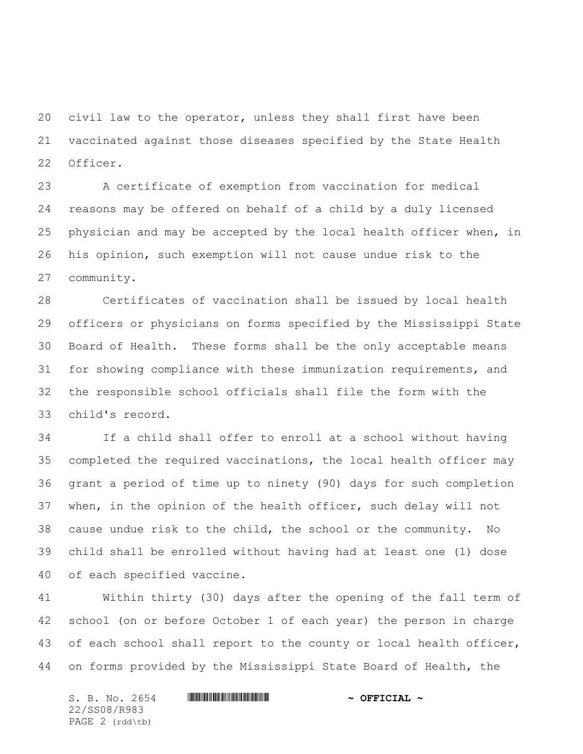civil law to the operator, unless they shall first have been vaccinated against those diseases specified by the State Health Officer.

 A certificate of exemption from vaccination for medical reasons may be offered on behalf of a child by a duly licensed physician and may be accepted by the local health officer when, in his opinion, such exemption will not cause undue risk to the community.

 Certificates of vaccination shall be issued by local health officers or physicians on forms specified by the Mississippi State Board of Health. These forms shall be the only acceptable means for showing compliance with these immunization requirements, and the responsible school officials shall file the form with the child's record.

 If a child shall offer to enroll at a school without having completed the required vaccinations, the local health officer may grant a period of time up to ninety (90) days for such completion when, in the opinion of the health officer, such delay will not cause undue risk to the child, the school or the community. No child shall be enrolled without having had at least one (1) dose of each specified vaccine.

 Within thirty (30) days after the opening of the fall term of school (on or before October 1 of each year) the person in charge 43 of each school shall report to the county or local health officer, on forms provided by the Mississippi State Board of Health, the

S. B. No. 2654 **\*\*\* ASSEMBLE ASSESSMENT ASSAM \*\*\* OFFICIAL \*** 22/SS08/R983 PAGE 2 (rdd\tb)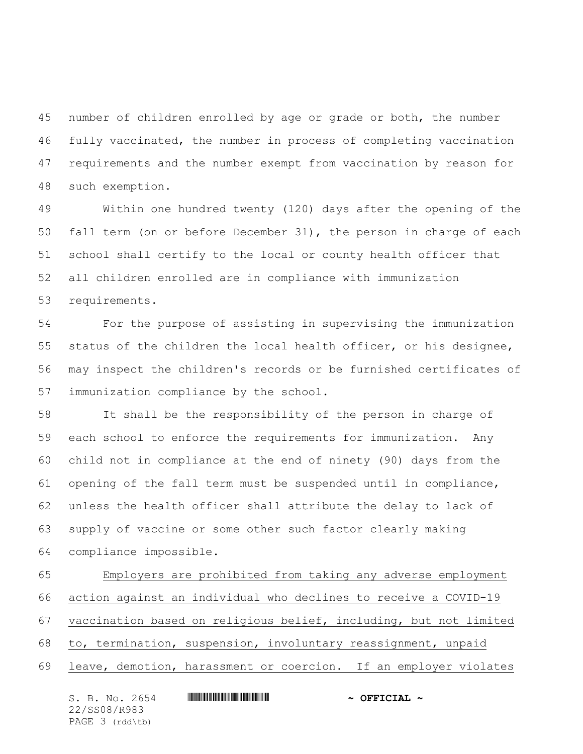number of children enrolled by age or grade or both, the number fully vaccinated, the number in process of completing vaccination requirements and the number exempt from vaccination by reason for such exemption.

 Within one hundred twenty (120) days after the opening of the fall term (on or before December 31), the person in charge of each school shall certify to the local or county health officer that all children enrolled are in compliance with immunization requirements.

 For the purpose of assisting in supervising the immunization status of the children the local health officer, or his designee, may inspect the children's records or be furnished certificates of immunization compliance by the school.

 It shall be the responsibility of the person in charge of each school to enforce the requirements for immunization. Any child not in compliance at the end of ninety (90) days from the opening of the fall term must be suspended until in compliance, unless the health officer shall attribute the delay to lack of supply of vaccine or some other such factor clearly making compliance impossible.

 Employers are prohibited from taking any adverse employment action against an individual who declines to receive a COVID-19 vaccination based on religious belief, including, but not limited to, termination, suspension, involuntary reassignment, unpaid leave, demotion, harassment or coercion. If an employer violates

S. B. No. 2654 **\*\*\* ASSEMBLE ASSESSMENT ASSAM \*\*\* OFFICIAL \*** 22/SS08/R983 PAGE 3 (rdd\tb)